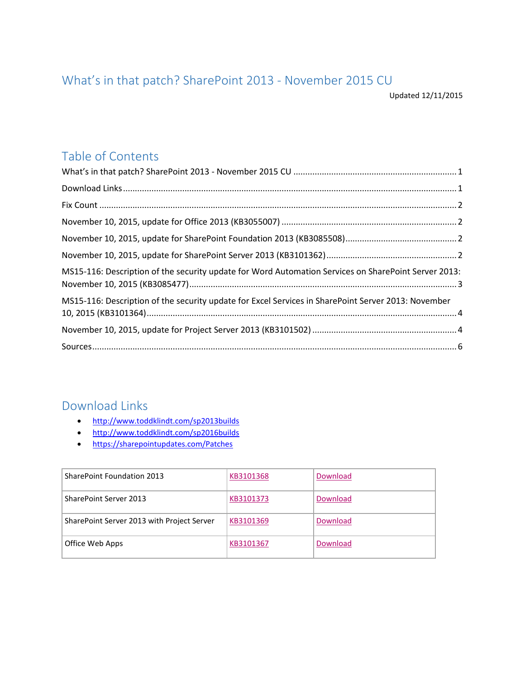## <span id="page-0-0"></span>What's in that patch? SharePoint 2013 - November 2015 CU

Updated 12/11/2015

## Table of Contents

| MS15-116: Description of the security update for Word Automation Services on SharePoint Server 2013: |  |
|------------------------------------------------------------------------------------------------------|--|
| MS15-116: Description of the security update for Excel Services in SharePoint Server 2013: November  |  |
|                                                                                                      |  |
|                                                                                                      |  |

#### <span id="page-0-1"></span>Download Links

- <http://www.toddklindt.com/sp2013builds>
- <http://www.toddklindt.com/sp2016builds>
- <https://sharepointupdates.com/Patches>

| <b>SharePoint Foundation 2013</b>          | KB3101368 | Download |
|--------------------------------------------|-----------|----------|
| SharePoint Server 2013                     | KB3101373 | Download |
| SharePoint Server 2013 with Project Server | KB3101369 | Download |
| Office Web Apps                            | KB3101367 | Download |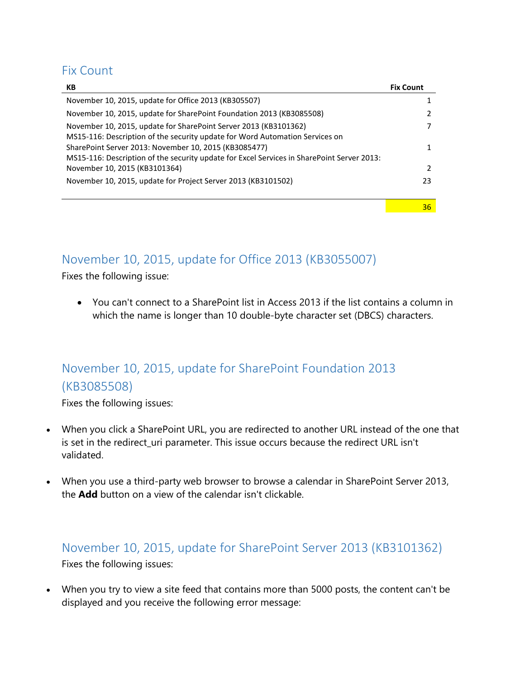### <span id="page-1-0"></span>Fix Count

| KB                                                                                                                                                  | <b>Fix Count</b> |
|-----------------------------------------------------------------------------------------------------------------------------------------------------|------------------|
| November 10, 2015, update for Office 2013 (KB305507)                                                                                                |                  |
| November 10, 2015, update for SharePoint Foundation 2013 (KB3085508)                                                                                |                  |
| November 10, 2015, update for SharePoint Server 2013 (KB3101362)<br>MS15-116: Description of the security update for Word Automation Services on    |                  |
| SharePoint Server 2013: November 10, 2015 (KB3085477)<br>MS15-116: Description of the security update for Excel Services in SharePoint Server 2013: | 1                |
| November 10, 2015 (KB3101364)                                                                                                                       | $\mathcal{P}$    |
| November 10, 2015, update for Project Server 2013 (KB3101502)                                                                                       | 23               |
|                                                                                                                                                     | 36               |

### <span id="page-1-1"></span>November 10, 2015, update for Office 2013 (KB3055007)

Fixes the following issue:

 You can't connect to a SharePoint list in Access 2013 if the list contains a column in which the name is longer than 10 double-byte character set (DBCS) characters.

# <span id="page-1-2"></span>November 10, 2015, update for SharePoint Foundation 2013 (KB3085508)

Fixes the following issues:

- When you click a SharePoint URL, you are redirected to another URL instead of the one that is set in the redirect\_uri parameter. This issue occurs because the redirect URL isn't validated.
- When you use a third-party web browser to browse a calendar in SharePoint Server 2013, the **Add** button on a view of the calendar isn't clickable.

## <span id="page-1-3"></span>November 10, 2015, update for SharePoint Server 2013 (KB3101362) Fixes the following issues:

 When you try to view a site feed that contains more than 5000 posts, the content can't be displayed and you receive the following error message: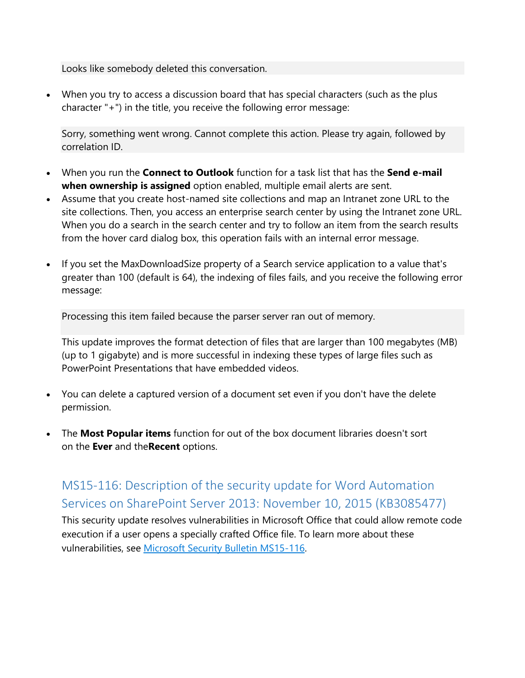Looks like somebody deleted this conversation.

 When you try to access a discussion board that has special characters (such as the plus character "+") in the title, you receive the following error message:

Sorry, something went wrong. Cannot complete this action. Please try again, followed by correlation ID.

- When you run the **Connect to Outlook** function for a task list that has the **Send e-mail when ownership is assigned** option enabled, multiple email alerts are sent.
- Assume that you create host-named site collections and map an Intranet zone URL to the site collections. Then, you access an enterprise search center by using the Intranet zone URL. When you do a search in the search center and try to follow an item from the search results from the hover card dialog box, this operation fails with an internal error message.
- If you set the MaxDownloadSize property of a Search service application to a value that's greater than 100 (default is 64), the indexing of files fails, and you receive the following error message:

Processing this item failed because the parser server ran out of memory.

This update improves the format detection of files that are larger than 100 megabytes (MB) (up to 1 gigabyte) and is more successful in indexing these types of large files such as PowerPoint Presentations that have embedded videos.

- You can delete a captured version of a document set even if you don't have the delete permission.
- The **Most Popular items** function for out of the box document libraries doesn't sort on the **Ever** and the**Recent** options.

# <span id="page-2-0"></span>MS15-116: Description of the security update for Word Automation Services on SharePoint Server 2013: November 10, 2015 (KB3085477)

This security update resolves vulnerabilities in Microsoft Office that could allow remote code execution if a user opens a specially crafted Office file. To learn more about these vulnerabilities, see [Microsoft Security Bulletin MS15-116.](https://technet.microsoft.com/library/security/MS15-116)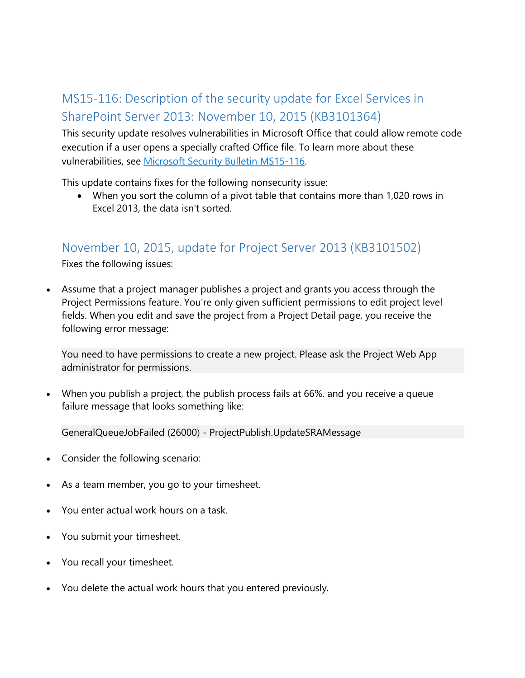# <span id="page-3-0"></span>MS15-116: Description of the security update for Excel Services in SharePoint Server 2013: November 10, 2015 (KB3101364)

This security update resolves vulnerabilities in Microsoft Office that could allow remote code execution if a user opens a specially crafted Office file. To learn more about these vulnerabilities, see [Microsoft Security Bulletin MS15-116.](https://technet.microsoft.com/library/security/MS15-116)

This update contains fixes for the following nonsecurity issue:

 When you sort the column of a pivot table that contains more than 1,020 rows in Excel 2013, the data isn't sorted.

#### <span id="page-3-1"></span>November 10, 2015, update for Project Server 2013 (KB3101502)

Fixes the following issues:

 Assume that a project manager publishes a project and grants you access through the Project Permissions feature. You're only given sufficient permissions to edit project level fields. When you edit and save the project from a Project Detail page, you receive the following error message:

You need to have permissions to create a new project. Please ask the Project Web App administrator for permissions.

 When you publish a project, the publish process fails at 66%. and you receive a queue failure message that looks something like:

GeneralQueueJobFailed (26000) - ProjectPublish.UpdateSRAMessage

- Consider the following scenario:
- As a team member, you go to your timesheet.
- You enter actual work hours on a task.
- You submit your timesheet.
- You recall your timesheet.
- You delete the actual work hours that you entered previously.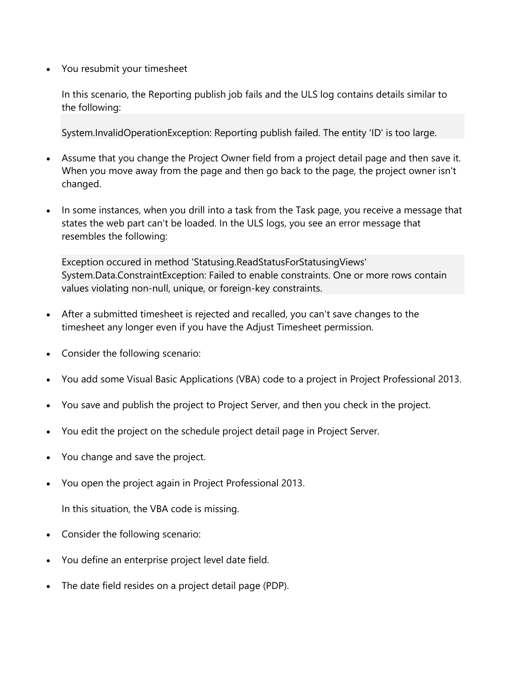You resubmit your timesheet

In this scenario, the Reporting publish job fails and the ULS log contains details similar to the following:

System.InvalidOperationException: Reporting publish failed. The entity 'ID' is too large.

- Assume that you change the Project Owner field from a project detail page and then save it. When you move away from the page and then go back to the page, the project owner isn't changed.
- In some instances, when you drill into a task from the Task page, you receive a message that states the web part can't be loaded. In the ULS logs, you see an error message that resembles the following:

Exception occured in method 'Statusing.ReadStatusForStatusingViews' System.Data.ConstraintException: Failed to enable constraints. One or more rows contain values violating non-null, unique, or foreign-key constraints.

- After a submitted timesheet is rejected and recalled, you can't save changes to the timesheet any longer even if you have the Adjust Timesheet permission.
- Consider the following scenario:
- You add some Visual Basic Applications (VBA) code to a project in Project Professional 2013.
- You save and publish the project to Project Server, and then you check in the project.
- You edit the project on the schedule project detail page in Project Server.
- You change and save the project.
- You open the project again in Project Professional 2013.

In this situation, the VBA code is missing.

- Consider the following scenario:
- You define an enterprise project level date field.
- The date field resides on a project detail page (PDP).